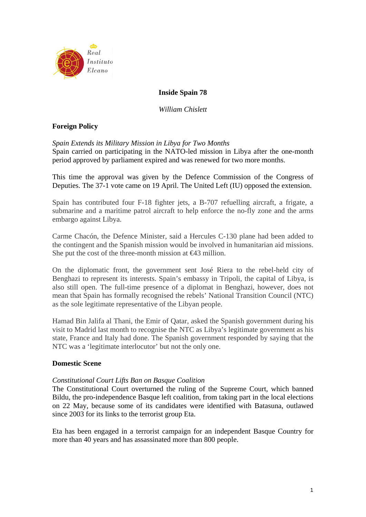

# **Inside Spain 78**

*William Chislett* 

# **Foreign Policy**

*Spain Extends its Military Mission in Libya for Two Months* 

Spain carried on participating in the NATO-led mission in Libya after the one-month period approved by parliament expired and was renewed for two more months.

This time the approval was given by the Defence Commission of the Congress of Deputies. The 37-1 vote came on 19 April. The United Left (IU) opposed the extension.

Spain has contributed four F-18 fighter jets, a B-707 refuelling aircraft, a frigate, a submarine and a maritime patrol aircraft to help enforce the no-fly zone and the arms embargo against Libya.

Carme Chacón, the Defence Minister, said a Hercules C-130 plane had been added to the contingent and the Spanish mission would be involved in humanitarian aid missions. She put the cost of the three-month mission at  $\Theta$ 3 million.

On the diplomatic front, the government sent José Riera to the rebel-held city of Benghazi to represent its interests. Spain's embassy in Tripoli, the capital of Libya, is also still open. The full-time presence of a diplomat in Benghazi, however, does not mean that Spain has formally recognised the rebels' National Transition Council (NTC) as the sole legitimate representative of the Libyan people.

Hamad Bin Jalifa al Thani, the Emir of Qatar, asked the Spanish government during his visit to Madrid last month to recognise the NTC as Libya's legitimate government as his state, France and Italy had done. The Spanish government responded by saying that the NTC was a 'legitimate interlocutor' but not the only one.

# **Domestic Scene**

### *Constitutional Court Lifts Ban on Basque Coalition*

The Constitutional Court overturned the ruling of the Supreme Court, which banned Bildu, the pro-independence Basque left coalition, from taking part in the local elections on 22 May, because some of its candidates were identified with Batasuna, outlawed since 2003 for its links to the terrorist group Eta.

Eta has been engaged in a terrorist campaign for an independent Basque Country for more than 40 years and has assassinated more than 800 people.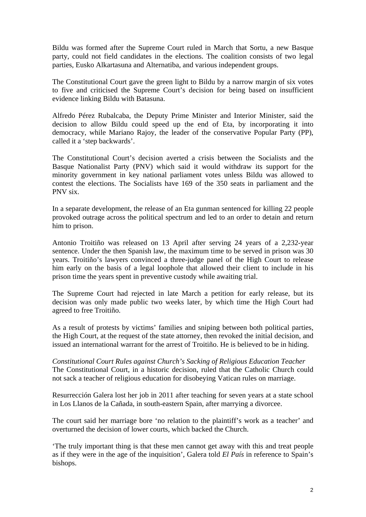Bildu was formed after the Supreme Court ruled in March that Sortu, a new Basque party, could not field candidates in the elections. The coalition consists of two legal parties, Eusko Alkartasuna and Alternatiba, and various independent groups.

The Constitutional Court gave the green light to Bildu by a narrow margin of six votes to five and criticised the Supreme Court's decision for being based on insufficient evidence linking Bildu with Batasuna.

Alfredo Pérez Rubalcaba, the Deputy Prime Minister and Interior Minister, said the decision to allow Bildu could speed up the end of Eta, by incorporating it into democracy, while Mariano Rajoy, the leader of the conservative Popular Party (PP), called it a 'step backwards'.

The Constitutional Court's decision averted a crisis between the Socialists and the Basque Nationalist Party (PNV) which said it would withdraw its support for the minority government in key national parliament votes unless Bildu was allowed to contest the elections. The Socialists have 169 of the 350 seats in parliament and the PNV six.

In a separate development, the release of an Eta gunman sentenced for killing 22 people provoked outrage across the political spectrum and led to an order to detain and return him to prison.

Antonio Troitiño was released on 13 April after serving 24 years of a 2,232-year sentence. Under the then Spanish law, the maximum time to be served in prison was 30 years. Troitiño's lawyers convinced a three-judge panel of the High Court to release him early on the basis of a legal loophole that allowed their client to include in his prison time the years spent in preventive custody while awaiting trial.

The Supreme Court had rejected in late March a petition for early release, but its decision was only made public two weeks later, by which time the High Court had agreed to free Troitiño.

As a result of protests by victims' families and sniping between both political parties, the High Court, at the request of the state attorney, then revoked the initial decision, and issued an international warrant for the arrest of Troitiño. He is believed to be in hiding.

*Constitutional Court Rules against Church's Sacking of Religious Education Teacher*  The Constitutional Court, in a historic decision, ruled that the Catholic Church could not sack a teacher of religious education for disobeying Vatican rules on marriage.

Resurrección Galera lost her job in 2011 after teaching for seven years at a state school in Los Llanos de la Cañada, in south-eastern Spain, after marrying a divorcee.

The court said her marriage bore 'no relation to the plaintiff's work as a teacher' and overturned the decision of lower courts, which backed the Church.

'The truly important thing is that these men cannot get away with this and treat people as if they were in the age of the inquisition', Galera told *El País* in reference to Spain's bishops.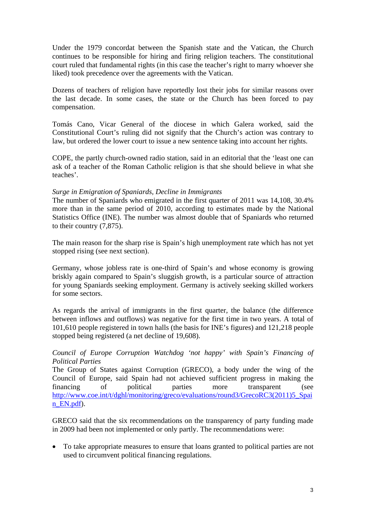Under the 1979 concordat between the Spanish state and the Vatican, the Church continues to be responsible for hiring and firing religion teachers. The constitutional court ruled that fundamental rights (in this case the teacher's right to marry whoever she liked) took precedence over the agreements with the Vatican.

Dozens of teachers of religion have reportedly lost their jobs for similar reasons over the last decade. In some cases, the state or the Church has been forced to pay compensation.

Tomás Cano, Vicar General of the diocese in which Galera worked, said the Constitutional Court's ruling did not signify that the Church's action was contrary to law, but ordered the lower court to issue a new sentence taking into account her rights.

COPE, the partly church-owned radio station, said in an editorial that the 'least one can ask of a teacher of the Roman Catholic religion is that she should believe in what she teaches'.

## *Surge in Emigration of Spaniards, Decline in Immigrants*

The number of Spaniards who emigrated in the first quarter of 2011 was 14,108, 30.4% more than in the same period of 2010, according to estimates made by the National Statistics Office (INE). The number was almost double that of Spaniards who returned to their country (7,875).

The main reason for the sharp rise is Spain's high unemployment rate which has not yet stopped rising (see next section).

Germany, whose jobless rate is one-third of Spain's and whose economy is growing briskly again compared to Spain's sluggish growth, is a particular source of attraction for young Spaniards seeking employment. Germany is actively seeking skilled workers for some sectors.

As regards the arrival of immigrants in the first quarter, the balance (the difference between inflows and outflows) was negative for the first time in two years. A total of 101,610 people registered in town halls (the basis for INE's figures) and 121,218 people stopped being registered (a net decline of 19,608).

## *Council of Europe Corruption Watchdog 'not happy' with Spain's Financing of Political Parties*

The Group of States against Corruption (GRECO), a body under the wing of the Council of Europe, said Spain had not achieved sufficient progress in making the financing of political parties more transparent (see [http://www.coe.int/t/dghl/monitoring/greco/evaluations/round3/GrecoRC3\(2011\)5\\_Spai](http://www.coe.int/t/dghl/monitoring/greco/evaluations/round3/GrecoRC3(2011)5_Spain_EN.pdf) [n\\_EN.pdf](http://www.coe.int/t/dghl/monitoring/greco/evaluations/round3/GrecoRC3(2011)5_Spain_EN.pdf)).

GRECO said that the six recommendations on the transparency of party funding made in 2009 had been not implemented or only partly. The recommendations were:

• To take appropriate measures to ensure that loans granted to political parties are not used to circumvent political financing regulations.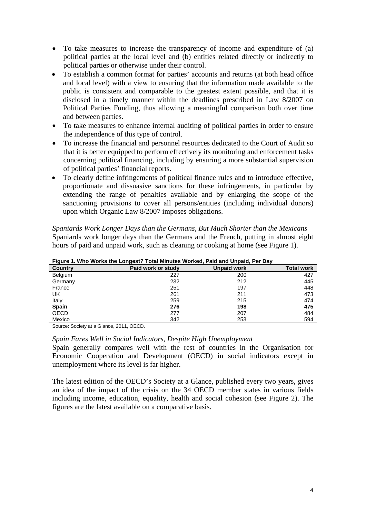- To take measures to increase the transparency of income and expenditure of (a) political parties at the local level and (b) entities related directly or indirectly to political parties or otherwise under their control.
- To establish a common format for parties' accounts and returns (at both head office and local level) with a view to ensuring that the information made available to the public is consistent and comparable to the greatest extent possible, and that it is disclosed in a timely manner within the deadlines prescribed in Law 8/2007 on Political Parties Funding, thus allowing a meaningful comparison both over time and between parties.
- To take measures to enhance internal auditing of political parties in order to ensure the independence of this type of control.
- To increase the financial and personnel resources dedicated to the Court of Audit so that it is better equipped to perform effectively its monitoring and enforcement tasks concerning political financing, including by ensuring a more substantial supervision of political parties' financial reports.
- To clearly define infringements of political finance rules and to introduce effective, proportionate and dissuasive sanctions for these infringements, in particular by extending the range of penalties available and by enlarging the scope of the sanctioning provisions to cover all persons/entities (including individual donors) upon which Organic Law 8/2007 imposes obligations.

*Spaniards Work Longer Days than the Germans, But Much Shorter than the Mexicans*  Spaniards work longer days than the Germans and the French, putting in almost eight hours of paid and unpaid work, such as cleaning or cooking at home (see Figure 1).

| <u>T Igule T. WIIO WOLNS LIJE LONGESI: TOLAI MINULES WOLNEU, FAIU ANU ONDAIU, FEI DAV</u> |                    |                    |                   |  |  |  |  |  |
|-------------------------------------------------------------------------------------------|--------------------|--------------------|-------------------|--|--|--|--|--|
| <b>Country</b>                                                                            | Paid work or study | <b>Unpaid work</b> | <b>Total work</b> |  |  |  |  |  |
| Belgium                                                                                   | 227                | 200                | 427               |  |  |  |  |  |
| Germany                                                                                   | 232                | 212                | 445               |  |  |  |  |  |
| France                                                                                    | 251                | 197                | 448               |  |  |  |  |  |
| UK                                                                                        | 261                | 211                | 473               |  |  |  |  |  |
| Italy                                                                                     | 259                | 215                | 474               |  |  |  |  |  |
| <b>Spain</b>                                                                              | 276                | 198                | 475               |  |  |  |  |  |
| OECD                                                                                      | 277                | 207                | 484               |  |  |  |  |  |
| Mexico                                                                                    | 342                | 253                | 594               |  |  |  |  |  |

**Figure 1. Who Works the Longest? Total Minutes Worked, Paid and Unpaid, Per Day** 

Source: Society at a Glance, 2011, OECD.

### *Spain Fares Well in Social Indicators, Despite High Unemployment*

Spain generally compares well with the rest of countries in the Organisation for Economic Cooperation and Development (OECD) in social indicators except in unemployment where its level is far higher.

The latest edition of the OECD's Society at a Glance, published every two years, gives an idea of the impact of the crisis on the 34 OECD member states in various fields including income, education, equality, health and social cohesion (see Figure 2). The figures are the latest available on a comparative basis.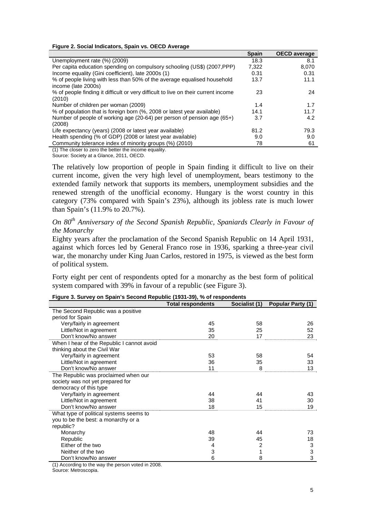#### **Figure 2. Social Indicators, Spain vs. OECD Average**

|                                                                                                 | <b>Spain</b> | <b>OECD</b> average |
|-------------------------------------------------------------------------------------------------|--------------|---------------------|
| Unemployment rate (%) (2009)                                                                    | 18.3         | 8.1                 |
| Per capita education spending on compulsory schooling (US\$) (2007, PPP)                        | 7.322        | 8.070               |
| Income equality (Gini coefficient), late 2000s (1)                                              | 0.31         | 0.31                |
| % of people living with less than 50% of the average equalised household<br>income (late 2000s) | 13.7         | 11.1                |
| % of people finding it difficult or very difficult to live on their current income<br>(2010)    | 23           | 24                  |
| Number of children per woman (2009)                                                             | 1.4          | 1.7                 |
| % of population that is foreign born (%, 2008 or latest year available)                         | 14.1         | 11.7                |
| Number of people of working age (20-64) per person of pension age (65+)<br>(2008)               | 3.7          | 4.2                 |
| Life expectancy (years) (2008 or latest year available)                                         | 81.2         | 79.3                |
| Health spending (% of GDP) (2008 or latest year available)                                      | 9.0          | 9.0                 |
| Community tolerance index of minority groups (%) (2010)                                         | 78           | 61                  |

(1) The closer to zero the better the income equality.

Source: Society at a Glance, 2011, OECD.

The relatively low proportion of people in Spain finding it difficult to live on their current income, given the very high level of unemployment, bears testimony to the extended family network that supports its members, unemployment subsidies and the renewed strength of the unofficial economy. Hungary is the worst country in this category (73% compared with Spain's 23%), although its jobless rate is much lower than Spain's (11.9% to 20.7%).

## *On 80th Anniversary of the Second Spanish Republic, Spaniards Clearly in Favour of the Monarchy*

Eighty years after the proclamation of the Second Spanish Republic on 14 April 1931, against which forces led by General Franco rose in 1936, sparking a three-year civil war, the monarchy under King Juan Carlos, restored in 1975, is viewed as the best form of political system.

Forty eight per cent of respondents opted for a monarchy as the best form of political system compared with 39% in favour of a republic (see Figure 3).

|                                            | <b>Total respondents</b> | Socialist (1) | Popular Party (1) |
|--------------------------------------------|--------------------------|---------------|-------------------|
| The Second Republic was a positive         |                          |               |                   |
| period for Spain                           |                          |               |                   |
| Very/fairly in agreement                   | 45                       | 58            | 26                |
| Little/Not in agreement                    | 35                       | 25            | 52                |
| Don't know/No answer                       | 20                       | 17            | 23                |
| When I hear of the Republic I cannot avoid |                          |               |                   |
| thinking about the Civil War               |                          |               |                   |
| Very/fairly in agreement                   | 53                       | 58            | 54                |
| Little/Not in agreement                    | 36                       | 35            | 33                |
| Don't know/No answer                       | 11                       | 8             | 13                |
| The Republic was proclaimed when our       |                          |               |                   |
| society was not yet prepared for           |                          |               |                   |
| democracy of this type                     |                          |               |                   |
| Very/fairly in agreement                   | 44                       | 44            | 43                |
| Little/Not in agreement                    | 38                       | 41            | 30                |
| Don't know/No answer                       | 18                       | 15            | 19                |
| What type of political systems seems to    |                          |               |                   |
| you to be the best: a monarchy or a        |                          |               |                   |
| republic?                                  |                          |               |                   |
| Monarchy                                   | 48                       | 44            | 73                |
| Republic                                   | 39                       | 45            | 18                |
| Either of the two                          | 4                        | 2             | 3                 |
| Neither of the two                         | 3                        | 1             | 3                 |
| Don't know/No answer                       | 6                        | 8             | 3                 |

**Figure 3. Survey on Spain's Second Republic (1931-39), % of respondents** 

(1) According to the way the person voted in 2008.

Source: Metroscopia.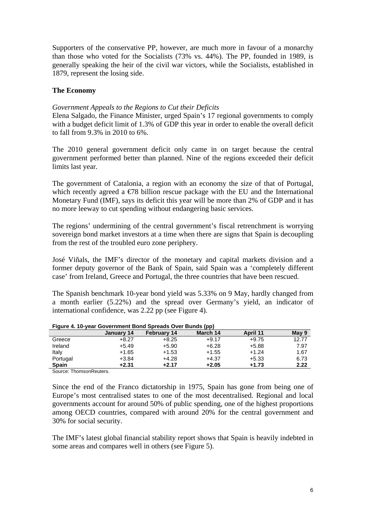Supporters of the conservative PP, however, are much more in favour of a monarchy than those who voted for the Socialists (73% vs. 44%). The PP, founded in 1989, is generally speaking the heir of the civil war victors, while the Socialists, established in 1879, represent the losing side.

## **The Economy**

### *Government Appeals to the Regions to Cut their Deficits*

Elena Salgado, the Finance Minister, urged Spain's 17 regional governments to comply with a budget deficit limit of 1.3% of GDP this year in order to enable the overall deficit to fall from 9.3% in 2010 to 6%.

The 2010 general government deficit only came in on target because the central government performed better than planned. Nine of the regions exceeded their deficit limits last year.

The government of Catalonia, a region with an economy the size of that of Portugal, which recently agreed a  $\epsilon$ /8 billion rescue package with the EU and the International Monetary Fund (IMF), says its deficit this year will be more than 2% of GDP and it has no more leeway to cut spending without endangering basic services.

The regions' undermining of the central government's fiscal retrenchment is worrying sovereign bond market investors at a time when there are signs that Spain is decoupling from the rest of the troubled euro zone periphery.

José Viñals, the IMF's director of the monetary and capital markets division and a former deputy governor of the Bank of Spain, said Spain was a 'completely different case' from Ireland, Greece and Portugal, the three countries that have been rescued.

The Spanish benchmark 10-year bond yield was 5.33% on 9 May, hardly changed from a month earlier (5.22%) and the spread over Germany's yield, an indicator of international confidence, was 2.22 pp (see Figure 4).

|                     |                          |                    | .        |          |       |
|---------------------|--------------------------|--------------------|----------|----------|-------|
|                     | January 14               | <b>February 14</b> | March 14 | April 11 | May 9 |
| Greece              | $+8.27$                  | $+8.25$            | $+9.17$  | $+9.75$  | 12.77 |
| Ireland             | $+5.49$                  | $+5.90$            | $+6.28$  | $+5.88$  | 7.97  |
| Italy               | $+1.65$                  | $+1.53$            | $+1.55$  | $+1.24$  | 1.67  |
| Portugal            | +3.84                    | $+4.28$            | $+4.37$  | $+5.33$  | 6.73  |
| <b>Spain</b>        | +2.31                    | $+2.17$            | $+2.05$  | $+1.73$  | 2.22  |
| $\sim$<br>$- \cdot$ | $\overline{\phantom{0}}$ |                    |          |          |       |

**Figure 4. 10-year Government Bond Spreads Over Bunds (pp)** 

Source: ThomsonReuters.

Since the end of the Franco dictatorship in 1975, Spain has gone from being one of Europe's most centralised states to one of the most decentralised. Regional and local governments account for around 50% of public spending, one of the highest proportions among OECD countries, compared with around 20% for the central government and 30% for social security.

The IMF's latest global financial stability report shows that Spain is heavily indebted in some areas and compares well in others (see Figure 5).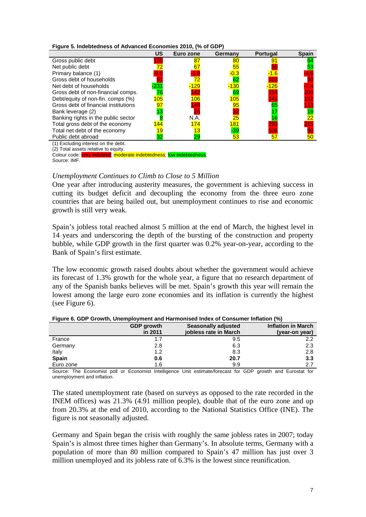|  | Figure 5. Indebtedness of Advanced Economies 2010, (% of GDP) |  |
|--|---------------------------------------------------------------|--|
|--|---------------------------------------------------------------|--|

|                                      | US     | Euro zone | Germany         | <b>Portugal</b> | <b>Spain</b> |
|--------------------------------------|--------|-----------|-----------------|-----------------|--------------|
|                                      |        |           |                 |                 |              |
| Gross public debt                    |        | 87        | 80              |                 |              |
| Net public debt                      |        | 67        | 55              |                 |              |
| Primary balance (1)                  | -9.(   |           | $0.3\,$         |                 |              |
| Gross debt of households             |        |           | 62              |                 |              |
| Net debt of households               | $-231$ | 129       | $-130$          | 126             |              |
| Gross debt of non-financial comps.   |        | 42        | 69              | 154             | 205          |
| Debt/equity of non-fin. comps (%)    | 105    | 106       | 105             | 45              | 52           |
| Gross debt of financial institutions | 97     | 148       | 95              | 65              |              |
| Bank leverage (2)                    |        |           |                 |                 | 19           |
| Banking rights in the public sector  |        | N.A.      | $\overline{25}$ |                 | 22           |
| Total gross debt of the economy      | 44     | 74        | 181             | 293             |              |
| Total net debt of the economy        |        |           | $-39$           |                 |              |
| Public debt abroad                   | 32     |           | 53              | 57              | 50           |
| (1) Excluding interest on the debt.  |        |           |                 |                 |              |
| (2) Total assets relative to equity. |        |           |                 |                 |              |

Colour code: very indebted; moderate indebtedness; low indebtedness. Source: IMF.

#### *Unemployment Continues to Climb to Close to 5 Million*

One year after introducing austerity measures, the government is achieving success in cutting its budget deficit and decoupling the economy from the three euro zone countries that are being bailed out, but unemployment continues to rise and economic growth is still very weak.

Spain's jobless total reached almost 5 million at the end of March, the highest level in 14 years and underscoring the depth of the bursting of the construction and property bubble, while GDP growth in the first quarter was 0.2% year-on-year, according to the Bank of Spain's first estimate.

The low economic growth raised doubts about whether the government would achieve its forecast of 1.3% growth for the whole year, a figure that no research department of any of the Spanish banks believes will be met. Spain's growth this year will remain the lowest among the large euro zone economies and its inflation is currently the highest (see Figure 6).

|              | <b>GDP</b> growth<br>in 2011 | Seasonally adjusted<br>iobless rate in March | <b>Inflation in March</b><br>(year-on year) |
|--------------|------------------------------|----------------------------------------------|---------------------------------------------|
| France       | 1.7                          | 9.5                                          | 2.2                                         |
| Germany      | 2.8                          | 6.3                                          | 2.3                                         |
| Italy        | 1.2                          | 8.3                                          | 2.8                                         |
| <b>Spain</b> | 0.6                          | 20.7                                         | 3.3                                         |
| Euro zone    | 1.6                          | 9.9                                          | 2.7                                         |

#### **Figure 6. GDP Growth, Unemployment and Harmonised Index of Consumer Inflation (%)**

Source: The Economist poll or Economist Intelligence Unit estimate/forecast for GDP growth and Eurostat for unemployment and inflation.

The stated unemployment rate (based on surveys as opposed to the rate recorded in the INEM offices) was 21.3% (4.91 million people), double that of the euro zone and up from 20.3% at the end of 2010, according to the National Statistics Office (INE). The figure is not seasonally adjusted.

Germany and Spain began the crisis with roughly the same jobless rates in 2007; today Spain's is almost three times higher than Germany's. In absolute terms, Germany with a population of more than 80 million compared to Spain's 47 million has just over 3 million unemployed and its jobless rate of 6.3% is the lowest since reunification.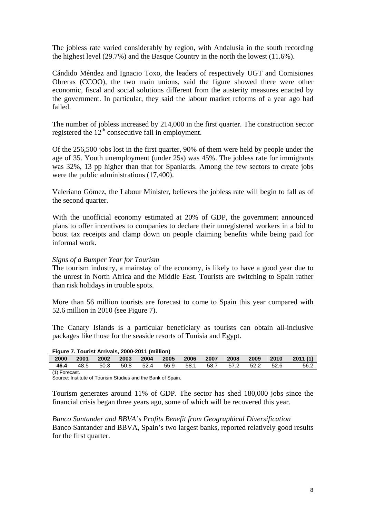The jobless rate varied considerably by region, with Andalusia in the south recording the highest level (29.7%) and the Basque Country in the north the lowest (11.6%).

Cándido Méndez and Ignacio Toxo, the leaders of respectively UGT and Comisiones Obreras (CCOO), the two main unions, said the figure showed there were other economic, fiscal and social solutions different from the austerity measures enacted by the government. In particular, they said the labour market reforms of a year ago had failed.

The number of jobless increased by 214,000 in the first quarter. The construction sector registered the  $12<sup>th</sup>$  consecutive fall in employment.

Of the 256,500 jobs lost in the first quarter, 90% of them were held by people under the age of 35. Youth unemployment (under 25s) was 45%. The jobless rate for immigrants was 32%, 13 pp higher than that for Spaniards. Among the few sectors to create jobs were the public administrations (17,400).

Valeriano Gómez, the Labour Minister, believes the jobless rate will begin to fall as of the second quarter.

With the unofficial economy estimated at 20% of GDP, the government announced plans to offer incentives to companies to declare their unregistered workers in a bid to boost tax receipts and clamp down on people claiming benefits while being paid for informal work.

#### *Signs of a Bumper Year for Tourism*

The tourism industry, a mainstay of the economy, is likely to have a good year due to the unrest in North Africa and the Middle East. Tourists are switching to Spain rather than risk holidays in trouble spots.

More than 56 million tourists are forecast to come to Spain this year compared with 52.6 million in 2010 (see Figure 7).

The Canary Islands is a particular beneficiary as tourists can obtain all-inclusive packages like those for the seaside resorts of Tunisia and Egypt.

| Figure 7. Tourist Arrivals, 2000-2011 (million) |      |      |      |      |      |        |      |      |      |      |                                   |
|-------------------------------------------------|------|------|------|------|------|--------|------|------|------|------|-----------------------------------|
| 2000                                            | 2001 | 2002 | 2003 | 2004 | 2005 | 2006   | 2007 | 2008 |      |      | $\binom{2009}{100}$ 2010 2011 (1) |
| 46.4                                            | 48.5 | 50.3 | 50.8 | 52.4 | 55.9 | - 58.1 | 58.7 | 57.2 | 52.2 | 52.6 | 56.2                              |
| .                                               |      |      |      |      |      |        |      |      |      |      |                                   |

(1) Forecast.

Source: Institute of Tourism Studies and the Bank of Spain.

Tourism generates around 11% of GDP. The sector has shed 180,000 jobs since the financial crisis began three years ago, some of which will be recovered this year.

*Banco Santander and BBVA's Profits Benefit from Geographical Diversification*  Banco Santander and BBVA, Spain's two largest banks, reported relatively good results for the first quarter.